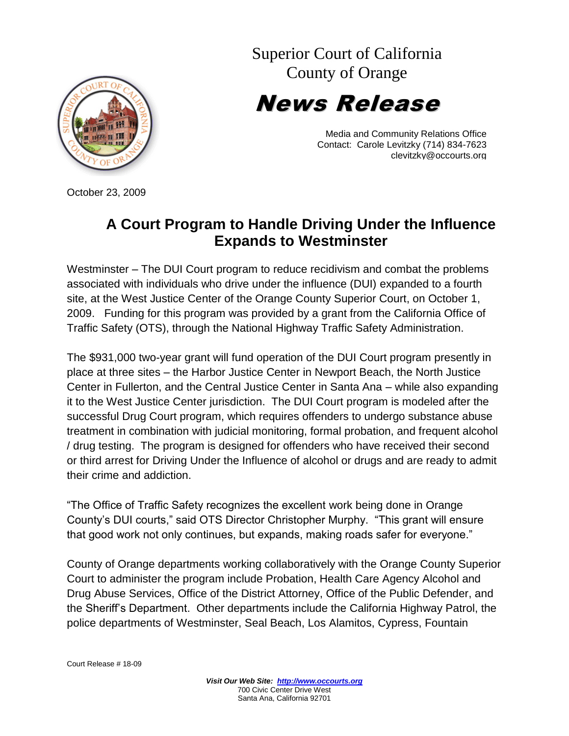Superior Court of California County of Orange

TY OF OK

News Release

Media and Community Relations Office Contact: Carole Levitzky (714) 834-7623 clevitzky@occourts.org

October 23, 2009

## **A Court Program to Handle Driving Under the Influence Expands to Westminster**

Westminster – The DUI Court program to reduce recidivism and combat the problems associated with individuals who drive under the influence (DUI) expanded to a fourth site, at the West Justice Center of the Orange County Superior Court, on October 1, 2009. Funding for this program was provided by a grant from the California Office of Traffic Safety (OTS), through the National Highway Traffic Safety Administration.

The \$931,000 two-year grant will fund operation of the DUI Court program presently in place at three sites – the Harbor Justice Center in Newport Beach, the North Justice Center in Fullerton, and the Central Justice Center in Santa Ana – while also expanding it to the West Justice Center jurisdiction. The DUI Court program is modeled after the successful Drug Court program, which requires offenders to undergo substance abuse treatment in combination with judicial monitoring, formal probation, and frequent alcohol / drug testing. The program is designed for offenders who have received their second or third arrest for Driving Under the Influence of alcohol or drugs and are ready to admit their crime and addiction.

"The Office of Traffic Safety recognizes the excellent work being done in Orange County's DUI courts," said OTS Director Christopher Murphy. "This grant will ensure that good work not only continues, but expands, making roads safer for everyone."

County of Orange departments working collaboratively with the Orange County Superior Court to administer the program include Probation, Health Care Agency Alcohol and Drug Abuse Services, Office of the District Attorney, Office of the Public Defender, and the Sheriff's Department. Other departments include the California Highway Patrol, the police departments of Westminster, Seal Beach, Los Alamitos, Cypress, Fountain